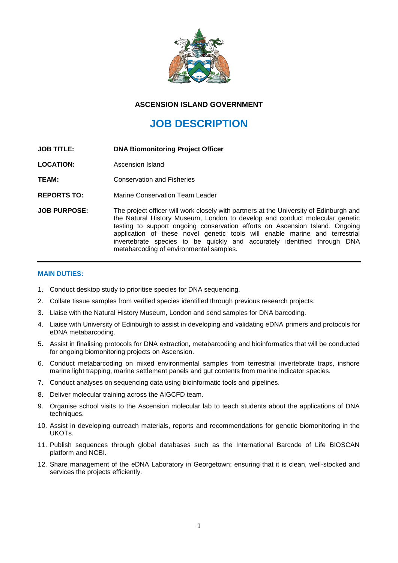

## **ASCENSION ISLAND GOVERNMENT**

# **JOB DESCRIPTION**

- **JOB TITLE: DNA Biomonitoring Project Officer**
- **LOCATION:** Ascension Island
- **TEAM:** Conservation and Fisheries
- **REPORTS TO:** Marine Conservation Team Leader
- **JOB PURPOSE:** The project officer will work closely with partners at the University of Edinburgh and the Natural History Museum, London to develop and conduct molecular genetic testing to support ongoing conservation efforts on Ascension Island. Ongoing application of these novel genetic tools will enable marine and terrestrial invertebrate species to be quickly and accurately identified through DNA metabarcoding of environmental samples.

#### **MAIN DUTIES:**

- 1. Conduct desktop study to prioritise species for DNA sequencing.
- 2. Collate tissue samples from verified species identified through previous research projects.
- 3. Liaise with the Natural History Museum, London and send samples for DNA barcoding.
- 4. Liaise with University of Edinburgh to assist in developing and validating eDNA primers and protocols for eDNA metabarcoding.
- 5. Assist in finalising protocols for DNA extraction, metabarcoding and bioinformatics that will be conducted for ongoing biomonitoring projects on Ascension.
- 6. Conduct metabarcoding on mixed environmental samples from terrestrial invertebrate traps, inshore marine light trapping, marine settlement panels and gut contents from marine indicator species.
- 7. Conduct analyses on sequencing data using bioinformatic tools and pipelines.
- 8. Deliver molecular training across the AIGCFD team.
- 9. Organise school visits to the Ascension molecular lab to teach students about the applications of DNA techniques.
- 10. Assist in developing outreach materials, reports and recommendations for genetic biomonitoring in the UKOTs.
- 11. Publish sequences through global databases such as the International Barcode of Life BIOSCAN platform and NCBI.
- 12. Share management of the eDNA Laboratory in Georgetown; ensuring that it is clean, well-stocked and services the projects efficiently.